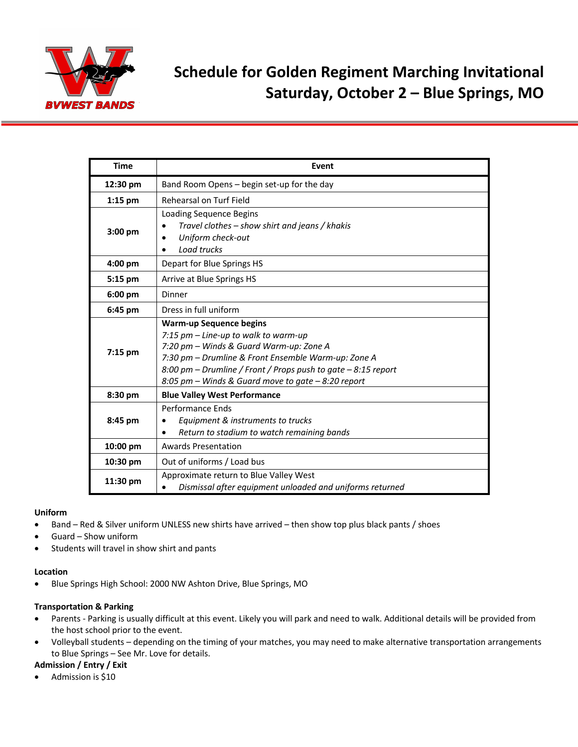

# **Schedule for Golden Regiment Marching Invitational Saturday, October 2 – Blue Springs, MO**

| <b>Time</b> | Event                                                                                                                                                                                                                                                                                            |  |
|-------------|--------------------------------------------------------------------------------------------------------------------------------------------------------------------------------------------------------------------------------------------------------------------------------------------------|--|
| 12:30 pm    | Band Room Opens – begin set-up for the day                                                                                                                                                                                                                                                       |  |
| $1:15$ pm   | Rehearsal on Turf Field                                                                                                                                                                                                                                                                          |  |
| 3:00 pm     | Loading Sequence Begins<br>Travel clothes - show shirt and jeans / khakis<br>Uniform check-out<br>Load trucks                                                                                                                                                                                    |  |
| 4:00 pm     | Depart for Blue Springs HS                                                                                                                                                                                                                                                                       |  |
| 5:15 pm     | Arrive at Blue Springs HS                                                                                                                                                                                                                                                                        |  |
| $6:00$ pm   | Dinner                                                                                                                                                                                                                                                                                           |  |
| 6:45 pm     | Dress in full uniform                                                                                                                                                                                                                                                                            |  |
| $7:15$ pm   | <b>Warm-up Sequence begins</b><br>7:15 pm - Line-up to walk to warm-up<br>7:20 pm - Winds & Guard Warm-up: Zone A<br>7:30 pm - Drumline & Front Ensemble Warm-up: Zone A<br>8:00 pm - Drumline / Front / Props push to gate - 8:15 report<br>8:05 pm - Winds & Guard move to gate $-8:20$ report |  |
| 8:30 pm     | <b>Blue Valley West Performance</b>                                                                                                                                                                                                                                                              |  |
| 8:45 pm     | Performance Ends<br>Equipment & instruments to trucks<br>Return to stadium to watch remaining bands                                                                                                                                                                                              |  |
| 10:00 pm    | <b>Awards Presentation</b>                                                                                                                                                                                                                                                                       |  |
| 10:30 pm    | Out of uniforms / Load bus                                                                                                                                                                                                                                                                       |  |
| 11:30 pm    | Approximate return to Blue Valley West<br>Dismissal after equipment unloaded and uniforms returned                                                                                                                                                                                               |  |

### **Uniform**

- Band Red & Silver uniform UNLESS new shirts have arrived then show top plus black pants / shoes
- Guard Show uniform
- Students will travel in show shirt and pants

#### **Location**

• Blue Springs High School: 2000 NW Ashton Drive, Blue Springs, MO

#### **Transportation & Parking**

- Parents Parking is usually difficult at this event. Likely you will park and need to walk. Additional details will be provided from the host school prior to the event.
- Volleyball students depending on the timing of your matches, you may need to make alternative transportation arrangements to Blue Springs – See Mr. Love for details.

#### **Admission / Entry / Exit**

• Admission is \$10